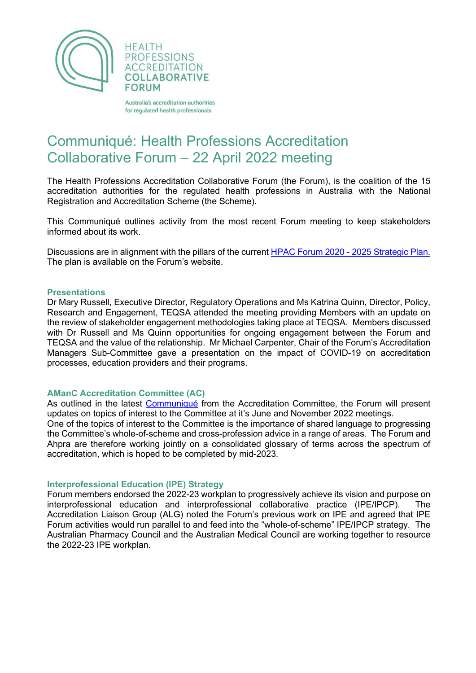



Australia's accreditation authorities for regulated health professionals

# Communiqué: Health Professions Accreditation Collaborative Forum – 22 April 2022 meeting

The Health Professions Accreditation Collaborative Forum (the Forum), is the coalition of the 15 accreditation authorities for the regulated health professions in Australia with the National Registration and Accreditation Scheme (the Scheme).

This Communiqué outlines activity from the most recent Forum meeting to keep stakeholders informed about its work.

Discussions are in alignment with the pillars of the current [HPAC Forum 2020 -](http://hpacf.org.au/about/) 2025 Strategic Plan. The plan is available on the Forum's website.

#### **Presentations**

Dr Mary Russell, Executive Director, Regulatory Operations and Ms Katrina Quinn, Director, Policy, Research and Engagement, TEQSA attended the meeting providing Members with an update on the review of stakeholder engagement methodologies taking place at TEQSA. Members discussed with Dr Russell and Ms Quinn opportunities for ongoing engagement between the Forum and TEQSA and the value of the relationship. Mr Michael Carpenter, Chair of the Forum's Accreditation Managers Sub-Committee gave a presentation on the impact of COVID-19 on accreditation processes, education providers and their programs.

## **AManC Accreditation Committee (AC)**

As outlined in the latest [Communiqué](https://www.ahpra.gov.au/About-Ahpra/Who-We-Are/Agency-Management-Committee/Accreditation-Advisory-Committee.aspx) from the Accreditation Committee, the Forum will present updates on topics of interest to the Committee at it's June and November 2022 meetings.

One of the topics of interest to the Committee is the importance of shared language to progressing the Committee's whole-of-scheme and cross-profession advice in a range of areas. The Forum and Ahpra are therefore working jointly on a consolidated glossary of terms across the spectrum of accreditation, which is hoped to be completed by mid-2023.

## **Interprofessional Education (IPE) Strategy**

Forum members endorsed the 2022-23 workplan to progressively achieve its vision and purpose on interprofessional education and interprofessional collaborative practice (IPE/IPCP). The Accreditation Liaison Group (ALG) noted the Forum's previous work on IPE and agreed that IPE Forum activities would run parallel to and feed into the "whole-of-scheme" IPE/IPCP strategy. The Australian Pharmacy Council and the Australian Medical Council are working together to resource the 2022-23 IPE workplan.